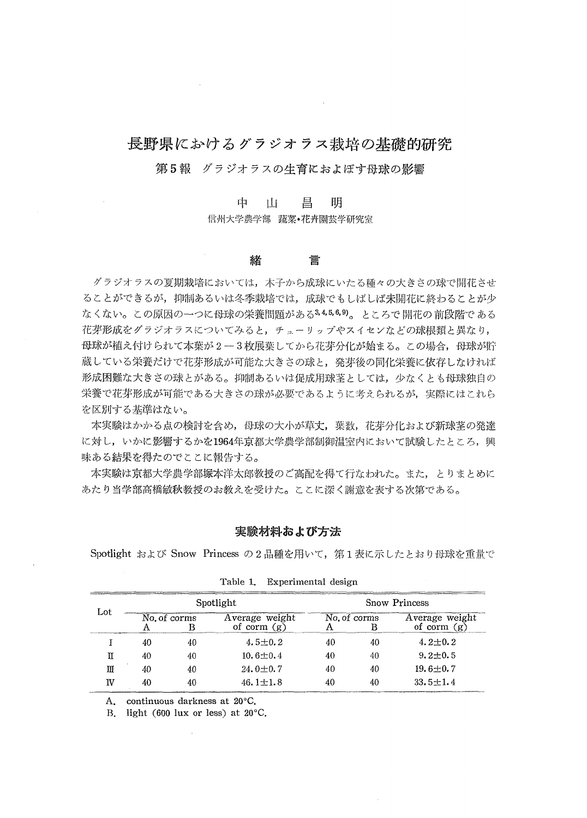# 長野県におけるグラジオラス栽培の基礎的研究

 $\sim$ 

## 第5報 グラジオラスの生育におよぼす母球の影響

**中一 山一 昌一 明**<br>信州大学農学部 蔬菜・花卉園芸学研究室

#### 緖 壹

 グラジオラスの夏期栽培においては,木子から成球にいたる種々の大きさの球で開花させ ることができるが,抑制あるいは冬季栽培では,成球でもしばしば未開花に終わることが少 なくない。この原因の一つに母球の栄養問題がある34569。ところで開花の前段階である 花芽形成をグラジナラスについてみると,チューリップやスイセンなどの球根類と異なり, 母球が植え付けられて本葉が2-3枚展葉してから花芽分化が始まる。この場合,母球が貯 蔵している栄養だけで花芽形成が可能な大きさの球と,発芽後の同化栄養に依存しなければ 形成困難な大きさの球とがある。抑制あるいは促成用球茎としては,少なくとも母球独自の 栄養で花芽形成が可能である大きさの球が必要であるように考えられるが,実際にはこれら を区別する基準はない。

 本実験はかかる点の検討を含め,母球の大小が草丈,葉数,花芽分化および新球茎の発達 に対し,いかに影響するかを1964年京都大学農学部制御温室内において試験したところ,興 昧ある結果を得たのでここに報告する。

 本実験は京都大学農学部塚本洋太郎教授のご高配を得て行なわれた。また,とりまとめに あたり理学部高橋敏秋教授のお教えを受けた。ここに深く謝意を表する次第である。

## 糞験材料および方浩

Spotlight および Snow Princess の2品種を用いて、第1表に示したとおり母球を重量で

| Lot |                                                      |                   | Spotlight                       | Snow Princess     |                |                                 |  |  |  |  |
|-----|------------------------------------------------------|-------------------|---------------------------------|-------------------|----------------|---------------------------------|--|--|--|--|
|     | Α                                                    | No. of corms<br>в | Average weight<br>of corm $(g)$ | No. of corms<br>Α | в              | Average weight<br>of corm $(g)$ |  |  |  |  |
|     | 40                                                   | 40                | $4.5 \pm 0.2$                   | 40                | 40             | $4.2 + 0.2$                     |  |  |  |  |
| π   | 40                                                   | 40                | $10.6 \pm 0.4$                  | 40                | 40             | $9.2 \pm 0.5$                   |  |  |  |  |
| Ш   | 40                                                   | 40                | $24.0 \pm 0.7$                  | 40                | 40             | $19.6 \pm 0.7$                  |  |  |  |  |
| IV  | 40<br>$46.1 \pm 1.8$<br>40                           |                   | 40                              | 40                | $33.5 \pm 1.4$ |                                 |  |  |  |  |
| Α.  |                                                      |                   | continuous darkness at 20°C.    |                   |                |                                 |  |  |  |  |
| Β.  | light $(600 \text{ lux or less})$ at $20^{\circ}$ C. |                   |                                 |                   |                |                                 |  |  |  |  |
|     |                                                      |                   |                                 |                   |                |                                 |  |  |  |  |
|     |                                                      |                   |                                 |                   |                |                                 |  |  |  |  |

Table 1. Experimental design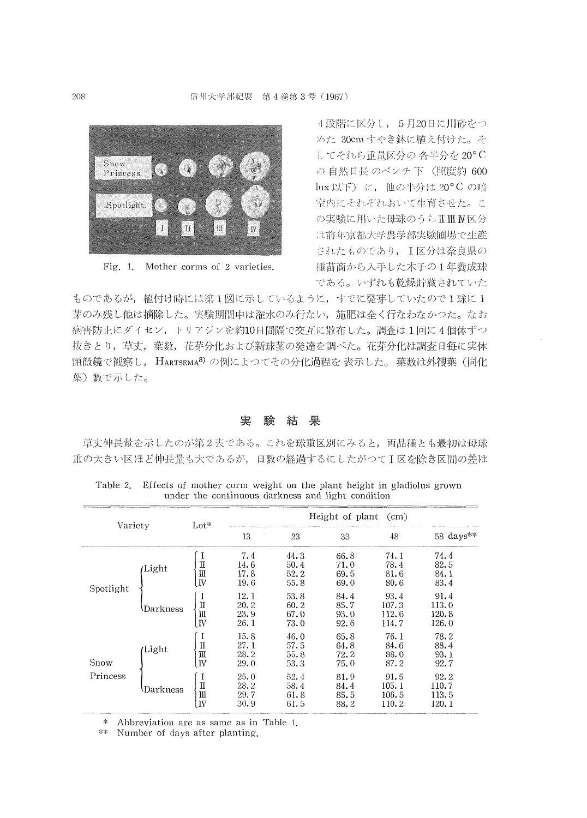

Fig. 1. Mother corms of 2 varieties.

4段階に区分し、5月20日に川砂をつ めた 30cm すやき鉢に植え付けた。そ してそれら重量区分の各半分を20°C の 自然日長 のベンチ 下 (照度約 600 lux 以下) に、他の半分は 20°C の暗 室内にそれぞれおいて生育させた。こ の実験に用いた母球のうちⅡⅢⅣ区分 は前年京都大学農学部実験圃場で生産 されたものであり、I区分は奈良県の 種苗商から入手した木子の1年養成球 である。いずれも乾燥貯蔵されていた

ものであるが、植付け時には第1図に示しているように、すでに発芽していたので1球に1 芽のみ残し他は摘除した。実験期間中は潅水のみ行ない、施肥は全く行なわなかつた。なお 病害防止にダイセン、トリアジンを約10日間隔で交互に散布した。調査は1回に4個体ずつ 抜きとり、草丈、葉数、花芽分化および新球茎の発達を調べた。花芽分化は調査日毎に実体 顕微鏡で観察し、HARTSEMA<sup>8)</sup> の例によつてその分化過程を表示した。葉数は外観葉(同化 葉) 数で示した。

#### 実 験結果

草丈伸長量を示したのが第2表である。これを球重区別にみると、両品種とも最初は母球 重の大きい区ほど伸長量も大であるが、日数の経過するにしたがつてⅠ区を除き区間の差は

| Variety   |                           | $Lot*$                                             | Height of plant<br>$\rm(cm)$                        |                                                      |                                                      |                                                        |                                                        |  |  |
|-----------|---------------------------|----------------------------------------------------|-----------------------------------------------------|------------------------------------------------------|------------------------------------------------------|--------------------------------------------------------|--------------------------------------------------------|--|--|
|           |                           |                                                    | 13                                                  | 23                                                   | 33                                                   | 48                                                     | $58 \; \mathrm{days}$ **                               |  |  |
| Spotlight | Light<br><b>\Darkness</b> | П<br>Ш<br>IV<br>$\mathbb I$<br>Ш                   | 7.4<br>14.6<br>17.8<br>19.6<br>12.1<br>20.2<br>23.9 | 44.3<br>50.4<br>52.2<br>55.8<br>53.8<br>60.2<br>67.0 | 66.8<br>71.0<br>69.5<br>69.0<br>84.4<br>85.7<br>93.0 | 74.1<br>78.4<br>81.6<br>80.6<br>93.4<br>107.3<br>112.6 | 74.4<br>82.5<br>84.1<br>83.4<br>91.4<br>113.0<br>120.8 |  |  |
| Snow      | Light                     | IV<br>I<br>$\mathbf I$<br>Ш<br>N.                  | 26.1<br>15.8<br>27.1<br>28.2<br>29.0                | 73.0<br>46.0<br>57.5<br>55.8<br>53.3                 | 92.6<br>65.8<br>64.8<br>72.2<br>75.0                 | 114.7<br>76.1<br>84.6<br>88.0<br>87.2                  | 126.0<br>78.2<br>88.4<br>93.1<br>92.7                  |  |  |
| Princess  | <b>\Darkness</b>          | I<br>$\rm I\hspace{-0.04cm}I$<br>$\rm{I\!I}$<br>IV | 25.0<br>28.2<br>29.7<br>30.9                        | 52.4<br>58.4<br>61.8<br>61.5                         | 81.9<br>84.4<br>85.5<br>88.2                         | 91.5<br>105.1<br>106.5<br>110.2                        | 92.2<br>110.7<br>113.5<br>120.1                        |  |  |

Table 2. Effects of mother corm weight on the plant height in gladiolus grown under the continuous darkness and light condition

\* Abbreviation are as same as in Table 1.

\*\* Number of days after planting.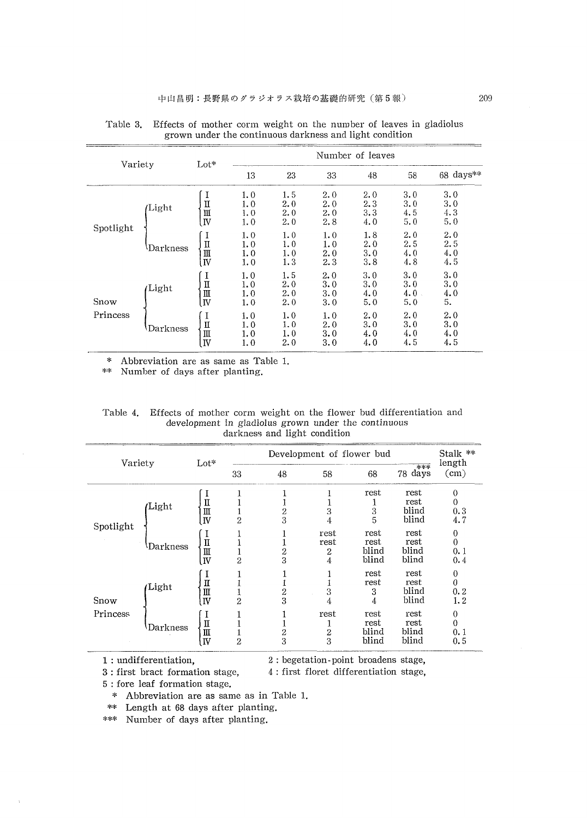| Variety   |          | $_{\rm Lot*}$                                    | Number of leaves         |                          |                          |                          |                           |                          |  |  |
|-----------|----------|--------------------------------------------------|--------------------------|--------------------------|--------------------------|--------------------------|---------------------------|--------------------------|--|--|
|           |          |                                                  | 13                       | 23                       | 33                       | 48                       | 58                        | 68 days**                |  |  |
| Spotlight | Light    | I<br>Π<br>Ш<br>$\overline{\mathbf{W}}$           | 1.0<br>1.0<br>1.0<br>1.0 | 1.5<br>2.0<br>2.0<br>2.0 | 2.0<br>2.0<br>2.0<br>2.8 | 2.0<br>2.3<br>3.3<br>4.0 | 3.0<br>3.0<br>4.5<br>5.0  | 3.0<br>3.0<br>4.3<br>5.0 |  |  |
|           | Darkness | I<br>Π<br>$\rm{I\!I}$<br>$\overline{\mathbf{N}}$ | 1.0<br>1.0<br>1.0<br>1.0 | 1.0<br>1.0<br>1.0<br>1.3 | 1.0<br>1.0<br>2.0<br>2.3 | 1.8<br>2.0<br>3.0<br>3.8 | 2.0<br>2.5<br>4.0<br>4.8  | 2.0<br>2.5<br>4.0<br>4.5 |  |  |
| Snow      | Light    | I<br>$\mathbf I$<br>Ш<br>$\overline{\mathbf{N}}$ | 1.0<br>1.0<br>1.0<br>1.0 | 1.5<br>2.0<br>2.0<br>2.0 | 2.0<br>3.0<br>3.0<br>3.0 | 3.0<br>3.0<br>4.0<br>5.0 | 3.0<br>3.0<br>4.0.<br>5.0 | 3.0<br>3.0<br>4.0<br>5.  |  |  |
| Princess  | Darkness | I<br>$\mathbf I$<br>Ш<br>IV                      | 1.0<br>1.0<br>1.0<br>1.0 | 1.0<br>1.0<br>1.0<br>2.0 | 1.0<br>2.0<br>3.0<br>3.0 | 2.0<br>3.0<br>4.0<br>4.0 | 2.0<br>3.0<br>4.0<br>4.5  | 2.0<br>3.0<br>4.0<br>4.5 |  |  |

Table 3. Effects of mother corm weight on the nuniber ef leaves in gladiolus grown under the continuous darkness and light condition

\* Abbreviation are as same as Table 1.

\*\* Number of days after p!anting.

|                                                     | Table 4. Effects of mother corm weight on the flower bud differentiation and |  |  |  |  |  |  |  |  |  |
|-----------------------------------------------------|------------------------------------------------------------------------------|--|--|--|--|--|--|--|--|--|
| development in gladiolus grown under the continuous |                                                                              |  |  |  |  |  |  |  |  |  |
| darkness and light condition                        |                                                                              |  |  |  |  |  |  |  |  |  |

| Variety   |          | Lot*                                   |                | Stalk **<br>length  |                        |                                     |                                                |                                              |
|-----------|----------|----------------------------------------|----------------|---------------------|------------------------|-------------------------------------|------------------------------------------------|----------------------------------------------|
|           |          |                                        | 33             | 48                  | 58                     | 68                                  | $***$<br>78 days                               | (cm)                                         |
| Spotlight | Light    | $\mathbf I$<br>$\mathbf{m}$<br>IV<br>Π | $\overline{2}$ | 2<br>3              | 3<br>4<br>rest<br>rest | rest<br>1<br>3<br>5<br>rest<br>rest | rest<br>rest<br>blind<br>blind<br>rest<br>rest | $\theta$<br>0<br>0.3<br>4.7<br>0<br>$\theta$ |
|           | Darkness | Ш<br>IV                                | $\overline{2}$ | $\overline{c}$<br>3 | 2<br>4                 | blind<br>blind                      | blind<br>blind                                 | 0.1<br>0.4                                   |
| Snow      | Light    | Π<br>Ш<br>$\overline{\mathbf{N}}$      | $\overline{2}$ | 2<br>3              | 3<br>4                 | rest<br>rest<br>3<br>4              | rest<br>rest<br>blind<br>blind                 | 0<br>$\theta$<br>0.2<br>1, 2                 |
| Princess  | Darkness | П<br>Ш<br>N,                           | $\overline{2}$ | 2<br>3              | rest<br>$\frac{2}{3}$  | rest<br>rest<br>blind<br>blind      | rest<br>rest<br>blind<br>blind                 | $\theta$<br>$\theta$<br>0.1<br>0.5           |

1: undifferentiation.

undifferentiation, 2: begetation-point broadens stage

3: first bract formation stage, first bract formation stage, 4:first floret differentiation stage,

5: fore leaf formation stage.

\* Abbreviation are as same as in Table 1.

\*\* Length at 68 days after planting.

\*\*\* Number of days after planting.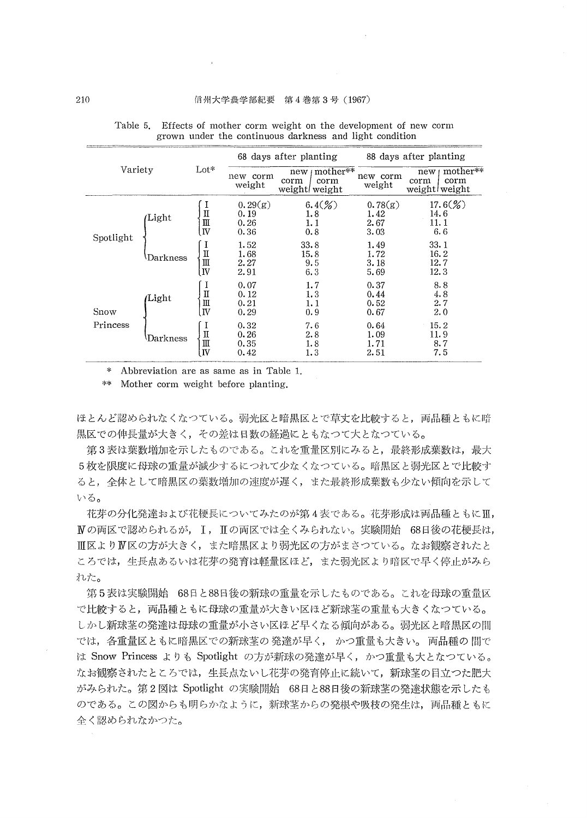| Variety   |                                                                |                                                                                                                                                                                                                                                                                                                                                    |                                 | 68 days after planting                           | 88 days after planting          |                                                  |  |
|-----------|----------------------------------------------------------------|----------------------------------------------------------------------------------------------------------------------------------------------------------------------------------------------------------------------------------------------------------------------------------------------------------------------------------------------------|---------------------------------|--------------------------------------------------|---------------------------------|--------------------------------------------------|--|
|           |                                                                | $_{\rm Lot*}$                                                                                                                                                                                                                                                                                                                                      | new corm<br>weight              | mother**<br>new<br>corm<br>corm<br>weight weight | new corm<br>weight              | mother**<br>new<br>corm<br>corm<br>weight weight |  |
| Spotlight | I<br>$\begin{array}{c} \Pi \\ \Pi \\ \Pi \end{array}$<br>Light |                                                                                                                                                                                                                                                                                                                                                    | 0.29(g)<br>0.19<br>0.26<br>0.36 | $6.4({\%})$<br>1.8<br>1.1<br>0.8                 | 0.78(g)<br>1.42<br>2.67<br>3.03 | $17.6(\%)$<br>14.6<br>11. 1<br>6.6               |  |
|           | Darkness                                                       | I<br>$\prod_{\text{III}}^{\text{II}}$                                                                                                                                                                                                                                                                                                              | 1.52<br>1.68<br>2.27<br>2.91    | 33.8<br>15.8<br>9.5<br>6.3                       | 1.49<br>1.72<br>3.18<br>5.69    | 33.1<br>16.2<br>12.7<br>12.3                     |  |
| Snow      | Light                                                          | I<br>$\mathbf I$<br>Ш<br>IV                                                                                                                                                                                                                                                                                                                        | 0.07<br>0.12<br>0.21<br>0.29    | 1.7<br>1.3<br>1.1<br>0.9                         | 0.37<br>0.44<br>0.52<br>0.67    | 8.8<br>4.8<br>2.7<br>2.0                         |  |
| Princess  | Darkness                                                       | I<br>П<br>$\mathop{\mathrm{III}}% \nolimits_{\mathop{\mathrm{III}}% \nolimits}^{\mathop{\mathrm{III}}% \nolimits_{\mathop{\mathrm{III}}% \nolimits}^{\mathop{\mathrm{III}}% \nolimits_{\mathop{\mathrm{III}}% \nolimits}^{\mathop{\mathrm{III}}% \nolimits_{\mathop{\mathrm{III}}% \nolimits}^{\mathop{\mathrm{III}}}}$<br>$\overline{\mathbf{N}}$ | 0.32<br>0.26<br>0.35<br>0.42    | 7.6<br>2.8<br>1.8<br>1.3                         | 0.64<br>1.09<br>1.71<br>2.51    | 15.2<br>11.9<br>8.7<br>7.5                       |  |

Table 5. Effects of mother corm weight on the development of new corm grown under the continuous darkness and light condition

\* Abbreviation are as same as in Table 1.

\*\* Mother corm weight before planting.

ほとんど認められなくなつている。弱光区と暗黒区とで草丈を比較すると、両品種ともに暗 黒区での伸長量が大きく、その差は日数の経過にともなつて大となつている。

第3表は葉数増加を示したものである。これを重量区別にみると、最終形成葉数は、最大 5枚を限度に母球の重量が減少するにつれて少なくなつている。暗黒区と弱光区とで比較す ると、全体として暗黒区の葉数増加の速度が遅く、また最終形成葉数も少ない傾向を示して いる。

花芽の分化発達および花梗長についてみたのが第4表である。花芽形成は両品種ともにⅢ, Ⅳの両区で認められるが、Ⅰ, Ⅱの両区では全くみられない。実験開始 68日後の花梗長は, Ⅲ区よりⅣ区の方が大きく,また暗黒区より弱光区の方がまさつている。なお観察されたと ころでは、生長点あるいは花芽の発育は軽量区ほど、また弱光区より暗区で早く停止がみら れた。

第5表は実験開始 68日と88日後の新球の重量を示したものである。これを母球の重量区 で比較すると、両品種ともに母球の重量が大きい区ほど新球茎の重量も大きくなつている。 しかし新球茎の発達は母球の重量が小さい区ほど早くなる傾向がある。弱光区と暗黒区の間 では、各重量区ともに暗黒区での新球茎の発達が早く、かつ重量も大きい。両品種の間で は Snow Princess よりも Spotlight の方が新球の発達が早く、かつ重量も大となつている。 なお観察されたところでは、生長点ないし花芽の発育停止に続いて、新球茎の目立つた肥大 がみられた。第2図は Spotlight の実験開始 68日と88日後の新球茎の発達状態を示したも のである。この図からも明らかなように、新球茎からの発根や吸枝の発生は、両品種ともに 全く認められなかつた。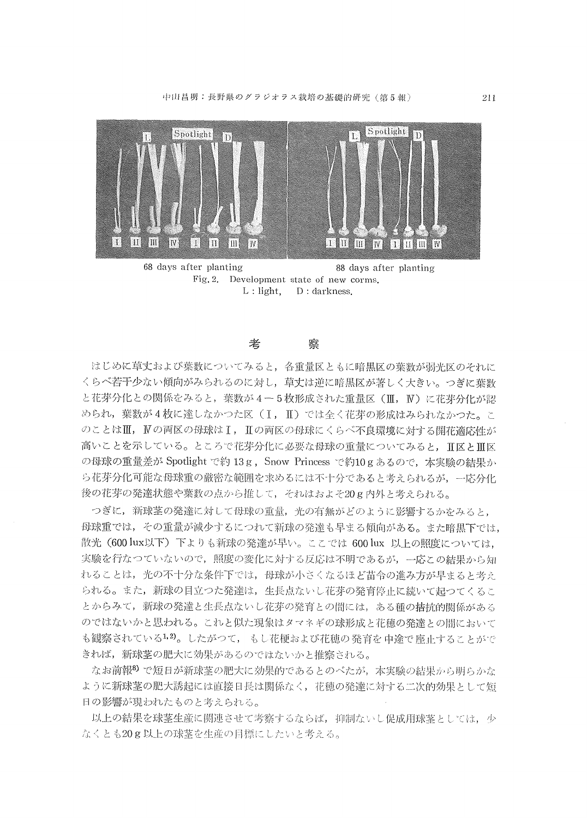

Fig. 2. Development state of new corms.<br>L: light.  $D:$  darkness. D: darkness.

#### 老 察

 はじめに草丈および葉数についてみると,各重量区ともに暗黒区の葉数が弱光区のそれに くらべ若干少ない傾向がみられるのに訳し,草丈は逆に暗黒区が著しく大きい。つぎに葉数 と花芽分化との関係をみると,葉数が4-5枚形成された重量区(II, N)に花芽分化が認 められ,葉数が4枚に達しなかつた区(I, H)では全く花芽の形成はみられなかつた。こ のことはⅢ, Nの両区の母球はⅠ, Ⅱの両区の母球にくらべ不良環境に対する開花適応性が 高いことを示している。ところで花芽分化に必要な母球の重量についてみると、Ⅱ区とⅢ区 の母球の重量差が Spotlight で約13g, Snow Princess で約10gあるので、本実験の結果か ら花芽分化可能な母球重の厳密な範囲を求めるには不十分であると考えられるが,一応分化 後の花芽の発達状態や葉数の点から推して,それはおよそ20g内外と考えられる。

 つぎに,新球茎の発達に対しで母球の重量,光の有無がどのように影響するかをみると, 母球重では,その重呈が減少するにつれて新球の発達も早まる傾向がある。また暗黒下では, 散光(600 lux以下)下よりも新球の発達が早い。ここでは 600 lux 以上の照度については, 実験を行なつていないので、照度の変化に対する反応は不明であるが、一応この結果から知 れることは、光の不十分な条件下では、母球が小さくなるほど苗令の進み方が早まると考え られる。また、新球の目立つた発達は、生長点ないし花芽の発育停止に続いて起つてくるこ とからみて、新球の発達と生長点ないし花芽の発育との間には、ある種の拮抗的関係がある のではないかと思われる。これと似た現象はタマネギの球形成と花穂の発達との闇において も観察されている<sup>1,2</sup>)。したがつて, もし花梗および花穂の発育を中途で座止することがで きれば,新球茎の肥大に効果があるのではないかと推察される。

なお前報8)で短目が新球茎の肥大に効果的であるとのべたが、本実験の結果から明らかな ように新球茎の肥大誘起には直接日長は関係なく、花穂の発達に対する二次的効果として短 日の影響が現われたものと考えられる。

以上の結果を球茎生産に関連させて考察するならば, 抑制ないし促成用球茎としては, 少 なくとも20g以上の球茎を生産の目標にしたいと考える。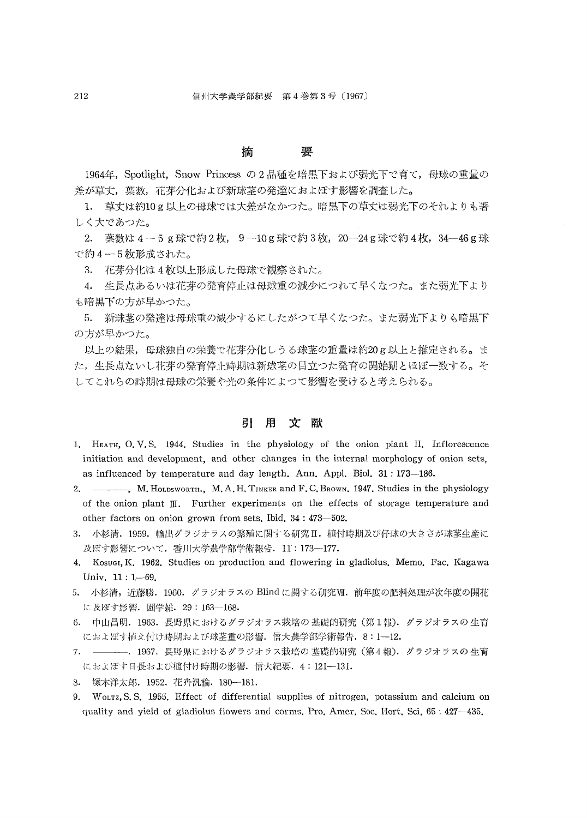#### 摘 要

1964年, Spotlight, Snow Princess の2品種を暗黒下および弱光下で育て, 母球の重量の 差が草丈,葉数,花芽分化および新球茎の発達におよぼす影響を調査した。

1. 草丈は約10g以上の母球では大差がなかつた。暗黒下の草丈は弱光下のそれよりも著 しく大であった。

2. 葉数は 4-5g球で約2枚, 9-10g球で約3枚, 20-24g球で約4枚, 34-46g球 で約4-5枚形成された。

3. 花芽分化は4枚以上形成した母球で観察された。

 4.生長点あるいは花芽の発育停止は母球重の減少につれて早くなった。また残光下より も暗黒下の方が早かった。

5. 新球茎の発達は母球重の減少するにしたがつて早くなつた。また弱光下よりも暗黒下 の方が早かった。

以上の結果,母球独自の栄養で花芽分化しうる球茎の重量は約20g以上と推定される。ま た,生長点ないし花芽の発育停止時期は新球茎の目立つた発育の開始期とほぼ一致する。そ してこれらの時期は母球の栄義や光の条件によって影響を受けると考えられる。

### 引 用 文献

- 1. HEATH, O. V. S. 1944. Studies in the physiology of the onion plant II. Inflorescence initiation and development, and other changes in the internal morphology of onion sets, as influenced by temperature and day length. Ann. Appl. Biol. 31:173-186.
- 2. ,M. HQLDswoRTH., M、 A、H. TINKER and F. C. BRowN.1947. Studies in the physiology of the onion plant  $\mathbb{II}$ . Further experiments on the effects of storage temperature and other factors on onion grown from sets. Ibid.  $34:473-502$ .
- 3. 小杉清. 1959. 輸出グラジオラスの繁殖に関する研究II. 植付時期及び仔球の大きさが球茎生産に 及ぼす影響について. 香川大学農学部学術報告. 11:173-177.
- 4. Kosugi, K, 1962. Studies on production and flowering in gladiolus. Memo. Fac. Kagawa Univ. 11: 1-69.
- 5. 小杉清,近藤勝. 1960. グラジオラスの Blind に関する研究VI. 前年度の肥料処理が次年度の開花 に及ぼす影響. 園学雑. 29:163-168.
- 6. 中山昌明. 1963. 長野県におけるグラジオラス栽培の基礎的研究(第1報). グラジオラスの生育 におよぼす植え付け時期および球茎重の影響. 信大農学部学術報告. 8:1-12.
- 7. ————. 1967. 長野県におけるグラジオラス栽培の基礎的研究 (第4報). グラジオラスの生育 におよぼす日長および植付け時期の影響. 信大紀要. 4:121-131.
- 8.塚本洋太郎.1952.花卉汎論.180-181.
- 9. WoLTz, S. S. 1955. Effect of differential supplies of nitrogen, potassium and calcium on quality and yield of gladiolus flowers and corms, Pro. Amer. Soc. Hort. Sci, 65:427-435.